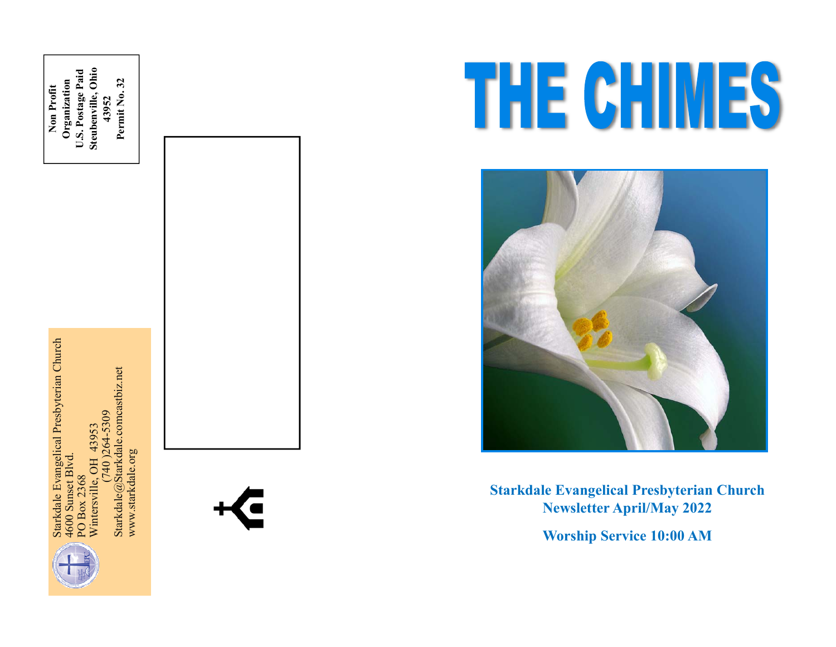**Steubenville, Ohio U.S. Postage Paid**  Steubenville, Ohio U.S. Postage Paid **Permit No. 32 Organization**  Permit No. 32 Organization **Non Profit**  Non Profit **43952** 





# THE CHIMES



**Starkdale Evangelical Presbyterian Church Newsletter April/May 2022** 

**Worship Service 10:00 AM**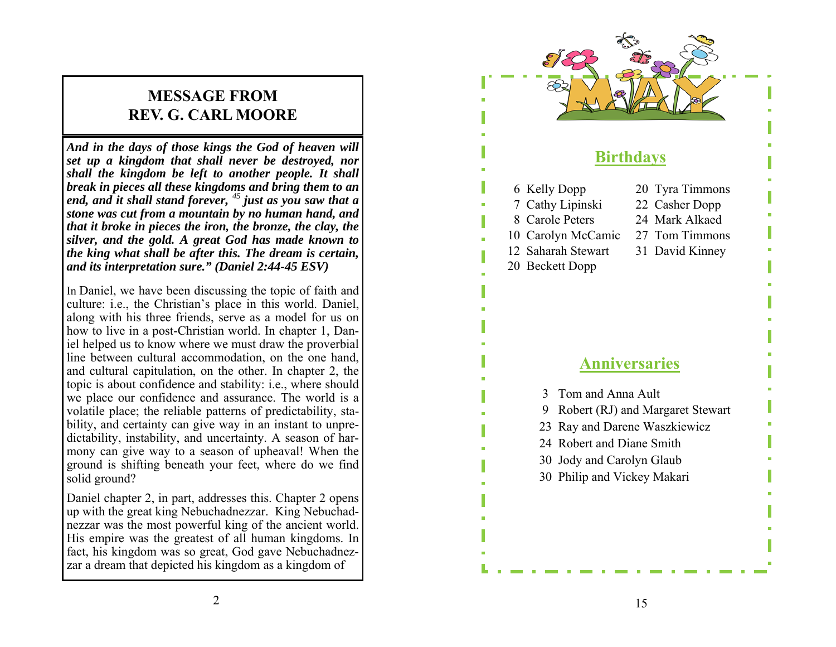## **MESSAGE FROM REV. G. CARL MOORE**

*And in the days of those kings the God of heaven will set up a kingdom that shall never be destroyed, nor shall the kingdom be left to another people. It shall break in pieces all these kingdoms and bring them to an end, and it shall stand forever, <sup>45</sup> just as you saw that a stone was cut from a mountain by no human hand, and that it broke in pieces the iron, the bronze, the clay, the silver, and the gold. A great God has made known to the king what shall be after this. The dream is certain, and its interpretation sure." (Daniel 2:44-45 ESV)* 

In Daniel, we have been discussing the topic of faith and culture: i.e., the Christian's place in this world. Daniel, along with his three friends, serve as a model for us on how to live in a post-Christian world. In chapter 1, Daniel helped us to know where we must draw the proverbial line between cultural accommodation, on the one hand, and cultural capitulation, on the other. In chapter 2, the topic is about confidence and stability: i.e., where should we place our confidence and assurance. The world is a volatile place; the reliable patterns of predictability, stability, and certainty can give way in an instant to unpredictability, instability, and uncertainty. A season of harmony can give way to a season of upheaval! When the ground is shifting beneath your feet, where do we find solid ground?

Daniel chapter 2, in part, addresses this. Chapter 2 opens up with the great king Nebuchadnezzar. King Nebuchadnezzar was the most powerful king of the ancient world. His empire was the greatest of all human kingdoms. In fact, his kingdom was so great, God gave Nebuchadnezzar a dream that depicted his kingdom as a kingdom of

# **Birthdays**  6 Kelly Dopp 7 Cathy Lipinski 8 Carole Peters 10 Carolyn McCamic 12 Saharah Stewart 20 Beckett Dopp 20 Tyra Timmons 22 Casher Dopp 24 Mark Alkaed 27 Tom Timmons 31 David Kinney 3 Tom and Anna Ault 9 Robert (RJ) and Margaret Stewart 23 Ray and Darene Waszkiewicz 24 Robert and Diane Smith 30 Jody and Carolyn Glaub 30 Philip and Vickey Makari  **Anniversaries**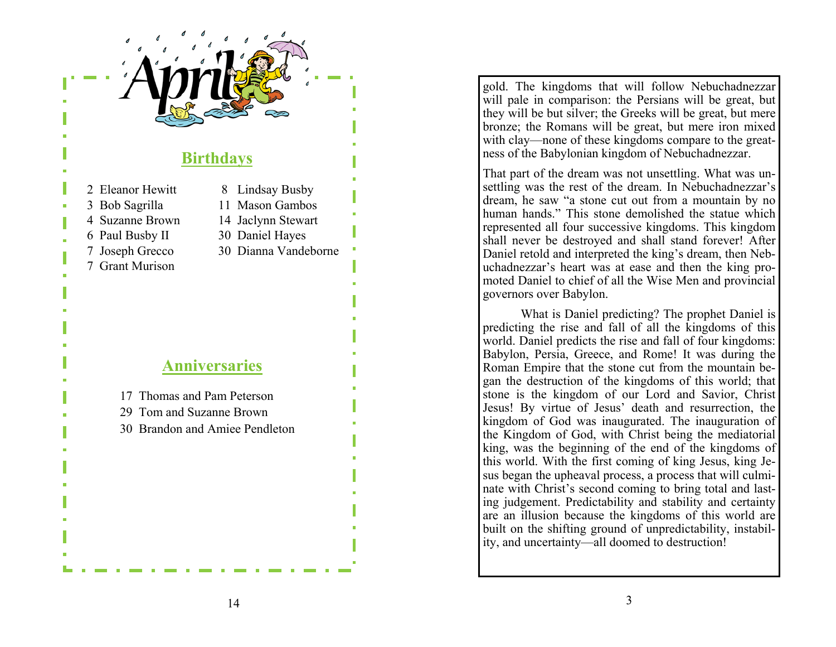

gold. The kingdoms that will follow Nebuchadnezzar will pale in comparison: the Persians will be great, but they will be but silver; the Greeks will be great, but mere bronze; the Romans will be great, but mere iron mixed with clay—none of these kingdoms compare to the greatness of the Babylonian kingdom of Nebuchadnezzar.

That part of the dream was not unsettling. What was unsettling was the rest of the dream. In Nebuchadnezzar's dream, he saw "a stone cut out from a mountain by no human hands." This stone demolished the statue which represented all four successive kingdoms. This kingdom shall never be destroyed and shall stand forever! After Daniel retold and interpreted the king's dream, then Nebuchadnezzar's heart was at ease and then the king promoted Daniel to chief of all the Wise Men and provincial governors over Babylon.

 What is Daniel predicting? The prophet Daniel is predicting the rise and fall of all the kingdoms of this world. Daniel predicts the rise and fall of four kingdoms: Babylon, Persia, Greece, and Rome! It was during the Roman Empire that the stone cut from the mountain began the destruction of the kingdoms of this world; that stone is the kingdom of our Lord and Savior, Christ Jesus! By virtue of Jesus' death and resurrection, the kingdom of God was inaugurated. The inauguration of the Kingdom of God, with Christ being the mediatorial king, was the beginning of the end of the kingdoms of this world. With the first coming of king Jesus, king Jesus began the upheaval process, a process that will culminate with Christ's second coming to bring total and lasting judgement. Predictability and stability and certainty are an illusion because the kingdoms of this world are built on the shifting ground of unpredictability, instability, and uncertainty—all doomed to destruction!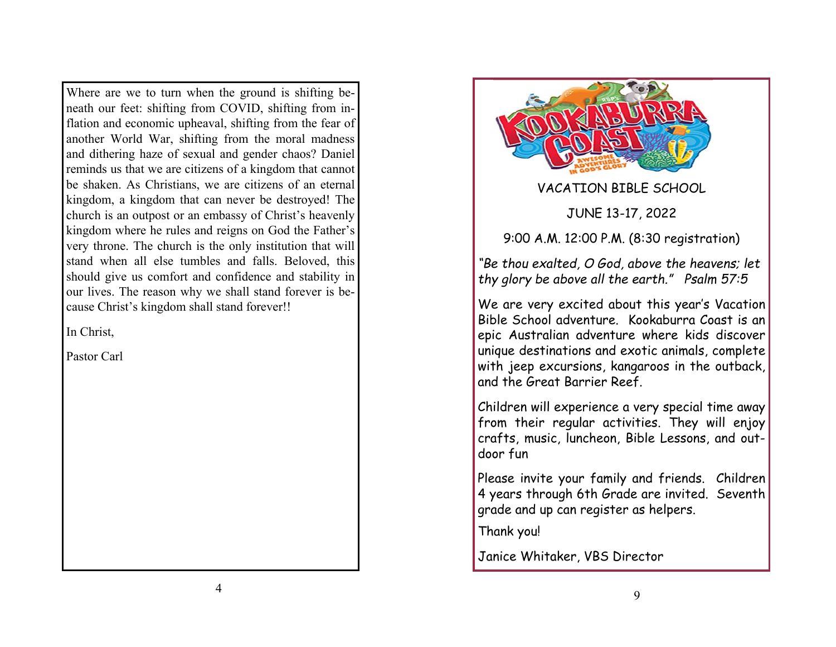Where are we to turn when the ground is shifting beneath our feet: shifting from COVID, shifting from inflation and economic upheaval, shifting from the fear of another World War, shifting from the moral madness and dithering haze of sexual and gender chaos? Daniel reminds us that we are citizens of a kingdom that cannot be shaken. As Christians, we are citizens of an eternal kingdom, a kingdom that can never be destroyed! The church is an outpost or an embassy of Christ's heavenly kingdom where he rules and reigns on God the Father's very throne. The church is the only institution that will stand when all else tumbles and falls. Beloved, this should give us comfort and confidence and stability in our lives. The reason why we shall stand forever is because Christ's kingdom shall stand forever!!

In Christ,

Pastor Carl



#### VACATION BIBLE SCHOOL

JUNE 13-17, 2022

9:00 A.M. 12:00 P.M. (8:30 registration)

*"Be thou exalted, O God, above the heavens; let thy glory be above all the earth." Psalm 57:5* 

We are very excited about this year's Vacation Bible School adventure. Kookaburra Coast is an epic Australian adventure where kids discover unique destinations and exotic animals, complete with jeep excursions, kangaroos in the outback, and the Great Barrier Reef.

Children will experience a very special time away from their regular activities. They will enjoy crafts, music, luncheon, Bible Lessons, and outdoor fun

Please invite your family and friends. Children 4 years through 6th Grade are invited. Seventh grade and up can register as helpers.

Thank you!

Janice Whitaker, VBS Director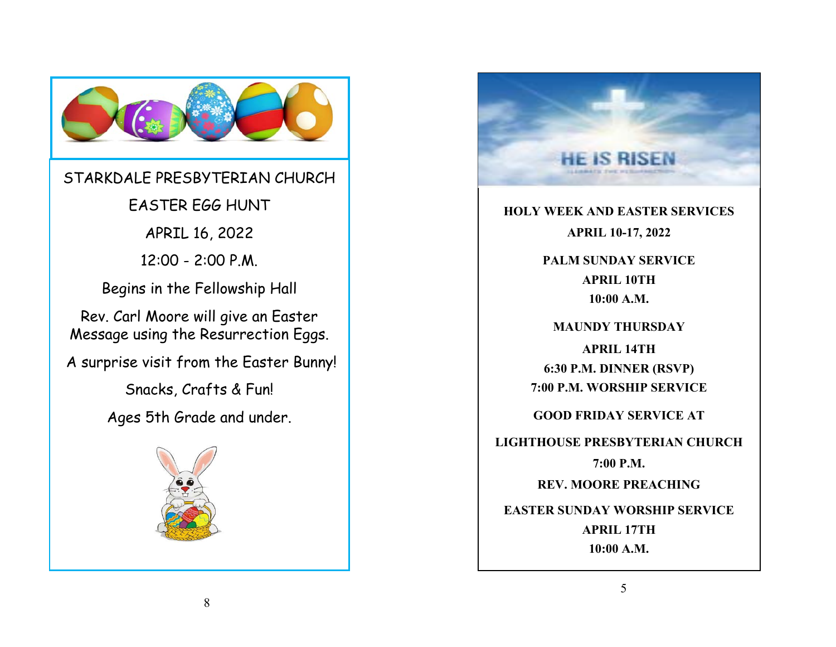STARKDALE PRESBYTERIAN CHURCH

EASTER EGG HUNT

APRIL 16, 2022

12:00 - 2:00 P.M.

Begins in the Fellowship Hall

Rev. Carl Moore will give an Easter Message using the Resurrection Eggs.

A surprise visit from the Easter Bunny!

Snacks, Crafts & Fun! Ages 5th Grade and under.





**10:00 A.M.**